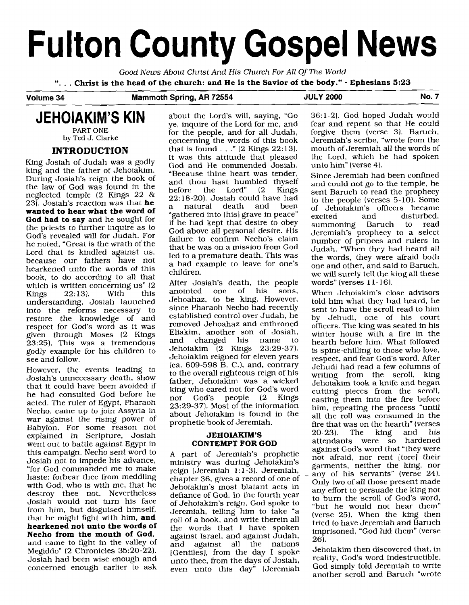# **Fulton County Gospel News**

Good News About Christ And His Church For All Of The World

". . . **Christ is the head of the church: and He is the Savior of the body."** - **Ephesians 5:23** 

#### **Volume 34 Mammoth Spring, AR 72554 JULY 2000 No. 7**

**JEHOIAKIM'S KIN** 

PART ONE by Ted J. Clarke

# **INTRODUCTION**

King Josiah of Judah was a godly king and the father of Jehoiakim. During Josiah's reign the book of the law of God was found in the neglected temple (2 Kings 22 & 23). Josiah's reaction was that **he wanted to hear what the word of God had to say** and he sought for the priests to further inquire as to God's revealed will for Judah. For he noted, "Great is the wrath of the Lord that is kindled against us, because our fathers have not hearkened unto the words of this book, to do according to all that which is written concerning us"  $(2 \text{Kings} \quad 22.13)$ . With this  $22:13$ ). understanding, Josiah launched into the reforms necessary to restore the knowledge of and respect for God's word as it was given through Moses (2 Kings  $23:25$ ). This was a tremendous godly example for his children to see and follow.

However, the events leading to Josiah's unnecessary death, show that it could have been avoided if he had consulted God before he acted. The ruler of Egypt, Pharaoh Necho, came up to join Assyria in war against the rising power of Babylon. For some reason not explained in Scripture, Josiah went out to battle against Egypt in this campaign. Necho sent word to Josiah not to impede his advance, =for God commanded me to make haste: forbear thee from meddling with God, who is with me, that he destroy thee not. Nevertheless Josiah would not turn his face from him, but disguised himself, that he might fight with him, **and hearkened not unto the words of Necho from the mouth of God,**  and came to fight in the valley of Megiddo" (2 Chronicles 35:20-22). Josiah had been wise enough and concerned enough earlier to ask

about the Lord's will, saying, "Go ye, inquire of the Lord for me, and for the people, and for all Judah, concerning the words of this book that is found  $\ldots$  " (2 Kings 22:13). It was this attitude that pleased God and He commended Josiah, "Because thine heart was tender, and thou hast humbled thyself<br>before the Lord" (2 Kings before the Lord" (2 Kings 22: 18-20). Josiah could have had a natural death and been "gathered into [his] grave in peace" if he had kept that desire to obey God above all personal desire. His failure to confirm Necho's claim that he was on a mission from God led to a premature death. This was a bad example to leave for one's children.

After Josiah's death, the people<br>anointed one of his sons. anointed one of Jehoahaz, to be king. However, since Pharaoh Necho had recently established control over Judah, he removed Jehoahaz and enthroned Eliakim, another son of Josiah, changed his name Jehoiakim (2 Kings 23:29-37). Jehoiakim reigned for eleven years [ca. 609-598 B. *C.),* and, contrary to the overall righteous reign of his father, Jehoiakim was a wicked king who cared not for God's word<br>nor God's people (2 Kings  $people$  (2 23:29-37). Most of the information about Jehoiakim is found in the prophetic book of Jeremiah.

## **JEHOIAKIM'S CONTEMPT FOR GOD**

**A** part of Jeremiah's prophetic ministry was during Jehoiakim's reign (Jeremiah  $1:1-3$ ). Jeremiah, chapter 36, gives a record of one of Jehoiakim's most blatant acts in defiance of God. In the fourth year of Jehoiakim's reign, God spoke to Jeremiah, telling him to take "a roll of a book, and write therein all the words that I have spoken against Israel, and against Judah, and against all the nations [Gentiles], from the day I spoke unto thee, from the days of Josiah, even unto this day" (Jeremiah

36:l-2). God hoped Judah would fear and repent so that He could forgive them (verse 3). Baruch, Jeremiah's scribe, "wrote from the mouth of Jeremiah all the words of the Lord, which he had spoken unto him" (verse 4).

Since Jeremiah had been confined and could not go to the temple, he sent Baruch to read the prophecy to the people (verses 5-10). Some of Jehoiakim's officers became<br>excited and disturbed, disturbed,<br>to read summoning Baruch to Jeremiah's prophecy to a select number of princes and rulers in Judah. "When they had heard all the words, they were afraid both one and other, and said to Baruch, we will surely tell the king all these words" [verses 1 **1** - 16).

When Jehoiakim's close advisors told him what they had heard, he sent to have the scroll read to him by Jehudi, one of his court officers. The king was seated in his winter house with a fire in the hearth before him. What followed is spine-chilling to those who love, respect, and fear God's word. After Jehudi had read a few columns of writing from the scroll, king Jehoiakim took a knife and began cutting pieces from the scroll, casting them into the fire before him, repeating the process "until all the roll was consumed in the fire that was on the hearth" (verses<br>20-23). The king and his 20-23). The king and his attendants were so against God's word that "they were not afraid, nor rent [tore] their garments, neither the king, nor any of his servants" (verse 24). Only two of all those present made any effort to persuade the king not to bum the scroll of God's word, "but he would not hear them" (verse 25). When the king then tried to have Jeremiah and Baruch imprisoned, "God hid them" (verse 26).

Jehoiakim then discovered that, in reality, God's word indestructible. God simply told Jeremiah to write another scroll and Baruch "wrote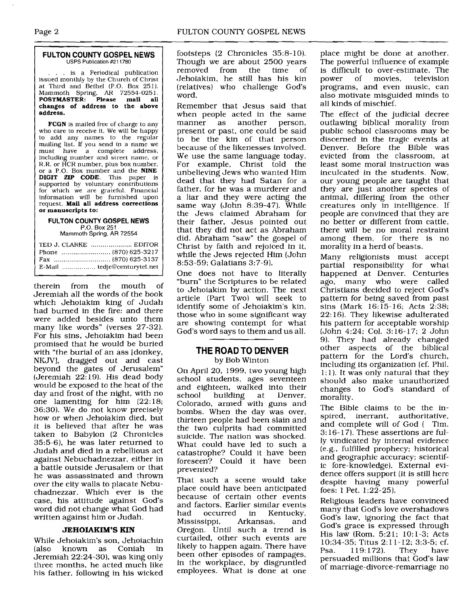#### **FULTON COUNTY GOSPEL NEWS**  USPS Publication #211780

.. is a Periodical publication issued monthly by the Church of Christ at Third and Bethel (P.O. Box 251). Mammoth Spring, **AR** 72554-025 1. **POSTMASTER: Please mail all changes of address to the above address.** 

**FCGN** is mailed free of charge to any who care to receive it. We will be happy to add any names to the regular mailing list. If you send in a name we must have a complete address, including number and street name, or R.R. or HCR number, plus box number, or a P.O. Box number and the **NINE**  DIGIT **ZIP CODE.** This paper is supported by voluntary contributions for which we are grateful. Financial information will be furnished upon request. **Mail all address corrections or manuscripts to:** 

#### **FULTON COUNTY GOSPEL NEWS P.O.** Box 251

Mammoth Spring, AR 72554

| TED J. CLARKE  EDITOR |
|-----------------------|
|                       |
|                       |
|                       |

therein from the mouth of Jeremiah all the words of the book which Jehoiakim king of Judah had burned in the fire: and there were added besides unto them many like words" (verses 27-32). For his sins, Jehoiakim had been promised that he would be buried with "the burial of an ass [donkey, NKJVI, dragged out and cast beyond the gates of Jerusalem" (Jeremiah 22: 19). His dead body would be exposed to the heat of the day and frost of the night, with no one lamenting for him (22: 18; 36:30). We do not know precisely how or when Jehoiakim died, but it is believed that after he was taken to Babylon (2 Chronicles 35:5-61, he was later returned to Judah and died in a rebellious act against Nebuchadnezzar, either in a battle outside Jerusalem or that he was assassinated and thrown over the city walls to placate Nebuchadnezzar. Which ever is the case, his attitude against God's word did not change what God had written against him or Judah.

# JEHOIAKIM'S KIN

While Jehoiakim's son, Jehoiachin (also known as Coniah in Jeremiah 22:24-30), was king only three months, he acted much like his father, following in his wicked footsteps (2 Chronicles 35:8-10). Though we are about 2500 years<br>removed from the time of removed from Jehoiakim, he still has his kin (relatives) who challenge God's word.

Remember that Jesus said that when people acted in the same<br>manner as another person, as another person, present or past, one could be said to be the kin of that person because of the likenesses involved. We use the same language today. For example, Christ told the unbelieving Jews who wanted Him dead that they had Satan for a father, for he was a murderer and a liar and they were acting the same way (John 8:39-47). While the Jews claimed Abraham for their father, Jesus pointed out that they did not act as Abraham did. Abraham "saw" the gospel of Christ by faith and rejoiced in it, while the Jews rejected Him (John 8:53-59; Galatians 3:7-9).

One does not have to literallv "burn" the Scriptures to be related to Jehoiakim by action. The next article (Part Two) will seek to identify some of Jehoiakim's kin, those who in some significant way are showing contempt for what God's word says to them and us all.

# **THE ROAD TO DENVER**  by Bob Winton

On April 20, 1999, two young high school students, ages seventeen and eighteen, walked into their<br>school building at Denver, at Denver, Colorado, armed with guns and bombs. When the day was over, thirteen people had been slain and the two culprits had committed suicide. The nation was shocked. What could have led to such a catastrophe? Could it have been foreseen? Could it have been prevented?

That such a scene would take place could have been anticipated because of certain other events and factors. Earlier similar events<br>had occurred in Kentucky, in Kentucky,<br>Arkansas, and Mississippi, Oregon. Until such a trend is curtailed, other such events are likely to happen again. There have been other episodes of rampages, in the workplace, by disgruntled employees. What is done at one

place might be done at another. The powerful influence of example is difficult to over-estimate. The<br>nower of movies, television movies, programs, and even music, can also motivate misguided minds to all kinds of mischief.

The effect of the judicial decree outlawing biblical morality from public school classrooms may be discerned in the tragic events at Denver. Before the Bible was evicted from the classroom, at least some moral instruction was inculcated in the students. Now, our young people are taught that they are just another species of animal, differing from the other creatures only in intelligence. If people are convinced that they are no better or different from cattle, there will be no moral restraint among them, for there is no morality in a herd of beasts.

Many religionists must accept partial responsibility for what happened at Denver. Centuries ago, many who were called Christians decided to reject God's pattern for being saved from past sins (Mark 16: 15-16; Acts 2:38; 22: 16). They likewise adulterated his pattern for acceptable worship (John 4:24; Col. 3:16-17; 2 John 9). They had already changed other aspects of the biblical pattern for the Lord's church, including its organization (cf. Phil. 1:l). It was only natural that they should also make unauthorized changes to God's standard of morality.

The Bible claims to be the inspired, inerrant, authoritative, and complete will of God ( Tim. 3: 16- 17). These assertions are fully vindicated by internal evidence (e.g., fulfilled prophecy; historical and geographic accuracy; scientific fore-knowledge). External evidence offers support (it is still here despite having many powerful foes: 1 Pet. 1:22-25).

Religious leaders have convinced many that God's love overshadows God's law, ignoring the fact that God's grace is expressed through His law (Rom. 5:21; 10:l-3; Acts 10:34-35; Titus 2:11-12; 3:3-5; cf.<br>Psa. 119:172). They have Psa. 119:172). They persuaded millions that God's law of marriage-divorce-remarriage no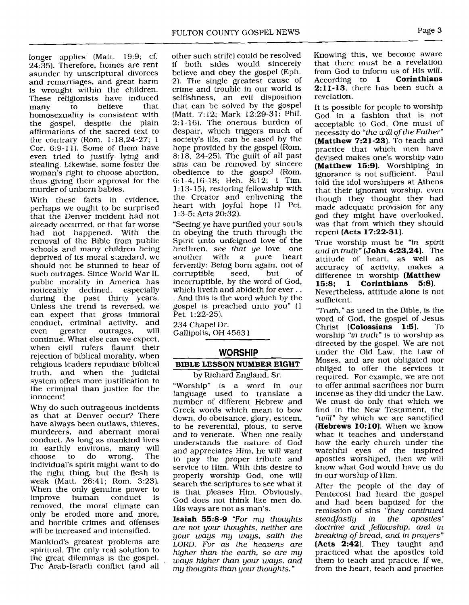longer applies (Matt. 19:9; cf. 24:35). Therefore, homes are rent asunder by unscriptural divorces and remarriages, and great harm is wrought within the children. These religionists have induced<br>many to believe that many to believe that homosexuality is consistent with the gospel, despite the plain affirmations of the sacred text to the contrary (Kom. 1:18,24-27; 1 Cor. 6:9-11). Some of them have even tried to justify lying and stealing. Likewise, some foster the woman's right to choose abortion, thus giving their approval for the murder of unborn babies.

With these facts in evidence, perhaps we ought to be surprised that the Denver incident had not already occurred, or that far worse had not happened. With the removal of the Bible from public schools and many children being deprived of its moral standard, we should not be stunned to hear of such outrages. Since World War 11, public morality in America has noticeably declined, especially during the past thirty years. Unless the trend is reversed, we can expect that gross immoral conduct, criminal activity, and<br>even greater outrages, will even greater outrages, continue. What else can we expect, when civil rulers flaunt their rejection of biblical morality, when religious leaders repudiate biblical truth, and when the judicial system offers more justification to the criminal than justice for the innocent!

Why do such outrageous incidents as that at Denver occur? There have always been outlaws, thieves, murderers, and aberrant moral conduct. As long as mankind lives in earthly environs, many will choose to do wrong. The individual's spirit might want to do the right thing, but the flesh is weak (Matt. 26:41; Rom. 3:23]. When the only genuine power to<br>improve human conduct is improve human conduct removed, the moral climate can only be eroded more and more, and horrible crimes and offenses will be increased and intensified.

Mankind's greatest problems are spiritual. The only real solution to the great dilemmas is the gospel. , The Arab-Israeli conflict (and all other such strife) could be resolved if both sides would sincerely believe and obey the gospel (Eph. 21 The single greatest cause of crime and trouble in our world is selfishness, an evil disposition that can be solved by the gospel (Matt. 7:12; Mark 12:29-31; Phil. 2:l-16). The onerous burden of despair, which triggers much of society's ills, can be eased by the hope provided by the gospel (Rom. 8:18, 24-25]. The guilt of all past sins can be removed by sincere obedience to the gospel (Rom. 6:l-4,16-18; Heb. 8:12; 1 Tim. 1:13-15), restoring fellowship with the Creator and enlivening the heart with joyful hope (1 Pet.  $1:3-5$ ; Acts  $20:32$ ).

"Seeing ye have purified your souls in obeying the truth through the Spirit unto unfeigned love of the brethren, *see that ye* love one another with a fervently: Being born again, not of corruptible incorruptible, by the word of God, . And this is the word which by the gospel is preached unto you" (1 Pet. 1:22-25).

234 Chapel Dr. Gallipolis, OH 4563 1

# **WORSHIP**

## **BIBLE LESSON NUMBER EIGHT**

by Richard England, Sr.

"Worship" is a word in our language used to translate a number of different Hebrew and Greek words which mean to bow down, do obeisance, glory, esteem, to be reverential, pious, to serve and to venerate. When one really understands the nature of God and appreciates Him, he will want to pay the proper tribute and service to Him. With this desire to properly worship God, one will search the scriptures to see what it is that pleases Him. Obviously, God does not think like men do. His ways are not as man's.

**Isaiah** 55:8-9 *"For my thoughts are not your thoughts, neither are your ways my ways, saith the LORD. For as the heavens are higher than the earth, so are my ways higher than your ways, and my thoughts than your thoughts.* "

Knowing this, we become aware that there must be a revelation from God to inform us of His will.<br>According to **1 Corinthians** According to 1  $2:11-13$ , there has been such a revelation.

It is possible for people to worship God in a fashion that is not acceptable to God. One must of necessity do *"the* will *of the Father"*  **(Matthew** 7:21-23). To teach and practice that which men have devised makes one's worship vain **(Matthew** 15:9). Worshiping in ignorance is not sufficient. Paul told the idol worshipers at Athens that their ignorant worship, even though they thought they had made adequate provision for any god they might have overlooked, was that from which they should repent **(Acts** 17:22-31).

True worship must be *"in spirit and in truth"* **(John** 4:23,24). The attitude of heart, as well as accuracy of activity, makes a difference in worship **(Matthew**  15:8; 1 **Corinthians** 5:8). Nevertheless, attitude alone is not

sufficient. *"Truth,"* as used in the Bible, is the

word of God, the gospel of Jesus Christ **(Colossians 1:5)**. To worship *"in truth"* is to worship as directed by the gospel. We are not under the Old Law, the Law of Moses, and are not obligated nor obliged to offer the services it required. For example, we are not to offer animal sacrifices nor burn incense as they did under the Law. We must do only that which we find in the New Testament, the *"will"* by which we are sanctified **(Hebrews 10:10)**. When we know what it teaches and understand how the early church under the watchful eyes of the inspired apostles worshiped, then we will know what God would have us do in our worship of Him.

After the people of the day of Pentecost had heard the gospel and had been baptized for the remission of sins *"they continued steadfastly doctrine and fellowship, and in breaking of bread, and in prayers"*  **(Acts** 2:42]. They taught and practiced what the apostles told them to teach and practice. If we, from the heart, teach and practice